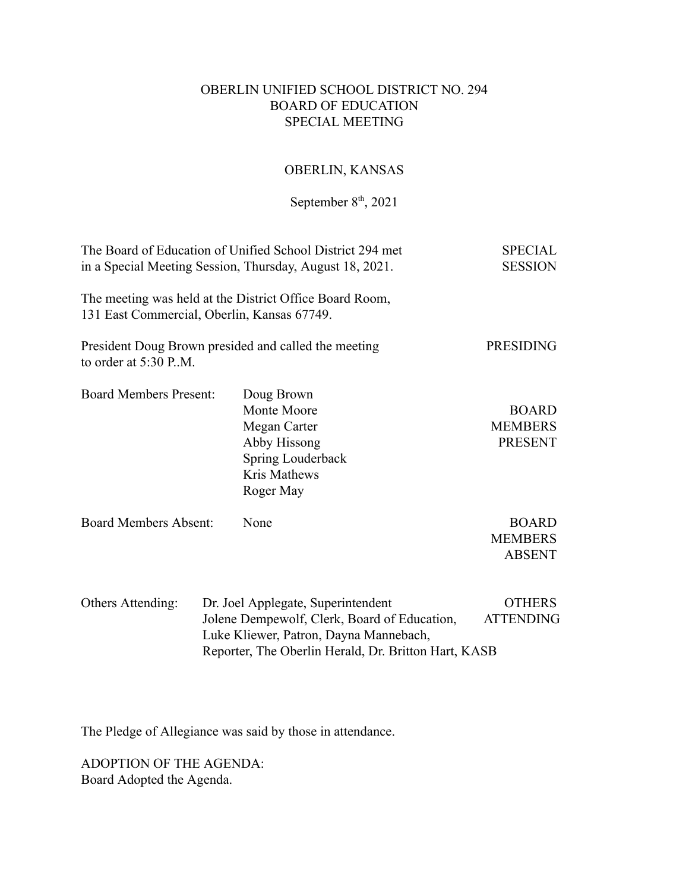## OBERLIN UNIFIED SCHOOL DISTRICT NO. 294 BOARD OF EDUCATION SPECIAL MEETING

## OBERLIN, KANSAS

## September  $8<sup>th</sup>$ , 2021

| The Board of Education of Unified School District 294 met<br>in a Special Meeting Session, Thursday, August 18, 2021. |  |                                                                                                                                                                                      | <b>SPECIAL</b><br><b>SESSION</b>                 |
|-----------------------------------------------------------------------------------------------------------------------|--|--------------------------------------------------------------------------------------------------------------------------------------------------------------------------------------|--------------------------------------------------|
| 131 East Commercial, Oberlin, Kansas 67749.                                                                           |  | The meeting was held at the District Office Board Room,                                                                                                                              |                                                  |
| to order at 5:30 P.M.                                                                                                 |  | President Doug Brown presided and called the meeting                                                                                                                                 | <b>PRESIDING</b>                                 |
| <b>Board Members Present:</b>                                                                                         |  | Doug Brown<br>Monte Moore<br>Megan Carter<br>Abby Hissong<br>Spring Louderback<br>Kris Mathews<br>Roger May                                                                          | <b>BOARD</b><br><b>MEMBERS</b><br><b>PRESENT</b> |
| <b>Board Members Absent:</b>                                                                                          |  | None                                                                                                                                                                                 | <b>BOARD</b><br><b>MEMBERS</b><br><b>ABSENT</b>  |
| Others Attending:                                                                                                     |  | Dr. Joel Applegate, Superintendent<br>Jolene Dempewolf, Clerk, Board of Education,<br>Luke Kliewer, Patron, Dayna Mannebach,<br>Reporter, The Oberlin Herald, Dr. Britton Hart, KASB | <b>OTHERS</b><br><b>ATTENDING</b>                |

The Pledge of Allegiance was said by those in attendance.

ADOPTION OF THE AGENDA: Board Adopted the Agenda.